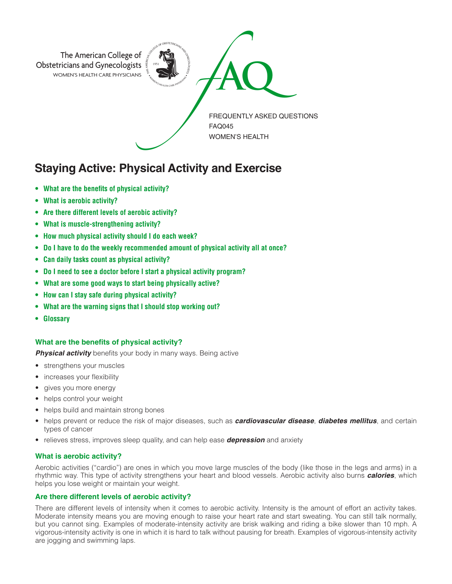

# **Staying Active: Physical Activity and Exercise**

- **• What are the benefits of physical activity?**
- **• What is aerobic activity?**
- **• Are there different levels of aerobic activity?**
- **• What is muscle-strengthening activity?**
- **• How much physical activity should I do each week?**
- **• Do I have to do the weekly recommended amount of physical activity all at once?**
- **• Can daily tasks count as physical activity?**
- **• Do I need to see a doctor before I start a physical activity program?**
- **• What are some good ways to start being physically active?**
- **• How can I stay safe during physical activity?**
- **• What are the warning signs that I should stop working out?**
- **Glossary**

# **What are the benefits of physical activity?**

**Physical activity** benefits your body in many ways. Being active

- strengthens your muscles
- increases your flexibility
- gives you more energy
- helps control your weight
- helps build and maintain strong bones
- helps prevent or reduce the risk of major diseases, such as *cardiovascular disease*, *diabetes mellitus*, and certain types of cancer
- relieves stress, improves sleep quality, and can help ease *depression* and anxiety

# **What is aerobic activity?**

Aerobic activities ("cardio") are ones in which you move large muscles of the body (like those in the legs and arms) in a rhythmic way. This type of activity strengthens your heart and blood vessels. Aerobic activity also burns *calories*, which helps you lose weight or maintain your weight.

# **Are there different levels of aerobic activity?**

There are different levels of intensity when it comes to aerobic activity. Intensity is the amount of effort an activity takes. Moderate intensity means you are moving enough to raise your heart rate and start sweating. You can still talk normally, but you cannot sing. Examples of moderate-intensity activity are brisk walking and riding a bike slower than 10 mph. A vigorous-intensity activity is one in which it is hard to talk without pausing for breath. Examples of vigorous-intensity activity are jogging and swimming laps.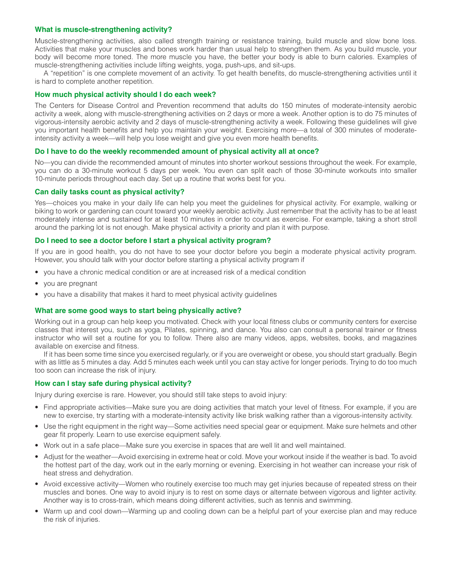#### **What is muscle-strengthening activity?**

Muscle-strengthening activities, also called strength training or resistance training, build muscle and slow bone loss. Activities that make your muscles and bones work harder than usual help to strengthen them. As you build muscle, your body will become more toned. The more muscle you have, the better your body is able to burn calories. Examples of muscle-strengthening activities include lifting weights, yoga, push-ups, and sit-ups.

A "repetition" is one complete movement of an activity. To get health benefits, do muscle-strengthening activities until it is hard to complete another repetition.

## **How much physical activity should I do each week?**

The Centers for Disease Control and Prevention recommend that adults do 150 minutes of moderate-intensity aerobic activity a week, along with muscle-strengthening activities on 2 days or more a week. Another option is to do 75 minutes of vigorous-intensity aerobic activity and 2 days of muscle-strengthening activity a week. Following these guidelines will give you important health benefits and help you maintain your weight. Exercising more—a total of 300 minutes of moderateintensity activity a week—will help you lose weight and give you even more health benefits.

#### **Do I have to do the weekly recommended amount of physical activity all at once?**

No—you can divide the recommended amount of minutes into shorter workout sessions throughout the week. For example, you can do a 30-minute workout 5 days per week. You even can split each of those 30-minute workouts into smaller 10-minute periods throughout each day. Set up a routine that works best for you.

#### **Can daily tasks count as physical activity?**

Yes—choices you make in your daily life can help you meet the guidelines for physical activity. For example, walking or biking to work or gardening can count toward your weekly aerobic activity. Just remember that the activity has to be at least moderately intense and sustained for at least 10 minutes in order to count as exercise. For example, taking a short stroll around the parking lot is not enough. Make physical activity a priority and plan it with purpose.

#### **Do I need to see a doctor before I start a physical activity program?**

If you are in good health, you do not have to see your doctor before you begin a moderate physical activity program. However, you should talk with your doctor before starting a physical activity program if

- you have a chronic medical condition or are at increased risk of a medical condition
- you are pregnant
- you have a disability that makes it hard to meet physical activity guidelines

#### **What are some good ways to start being physically active?**

Working out in a group can help keep you motivated. Check with your local fitness clubs or community centers for exercise classes that interest you, such as yoga, Pilates, spinning, and dance. You also can consult a personal trainer or fitness instructor who will set a routine for you to follow. There also are many videos, apps, websites, books, and magazines available on exercise and fitness.

If it has been some time since you exercised regularly, or if you are overweight or obese, you should start gradually. Begin with as little as 5 minutes a day. Add 5 minutes each week until you can stay active for longer periods. Trying to do too much too soon can increase the risk of injury.

#### **How can I stay safe during physical activity?**

Injury during exercise is rare. However, you should still take steps to avoid injury:

- Find appropriate activities—Make sure you are doing activities that match your level of fitness. For example, if you are new to exercise, try starting with a moderate-intensity activity like brisk walking rather than a vigorous-intensity activity.
- Use the right equipment in the right way—Some activities need special gear or equipment. Make sure helmets and other gear fit properly. Learn to use exercise equipment safely.
- Work out in a safe place—Make sure you exercise in spaces that are well lit and well maintained.
- Adjust for the weather—Avoid exercising in extreme heat or cold. Move your workout inside if the weather is bad. To avoid the hottest part of the day, work out in the early morning or evening. Exercising in hot weather can increase your risk of heat stress and dehydration.
- Avoid excessive activity—Women who routinely exercise too much may get injuries because of repeated stress on their muscles and bones. One way to avoid injury is to rest on some days or alternate between vigorous and lighter activity. Another way is to cross-train, which means doing different activities, such as tennis and swimming.
- Warm up and cool down—Warming up and cooling down can be a helpful part of your exercise plan and may reduce the risk of injuries.